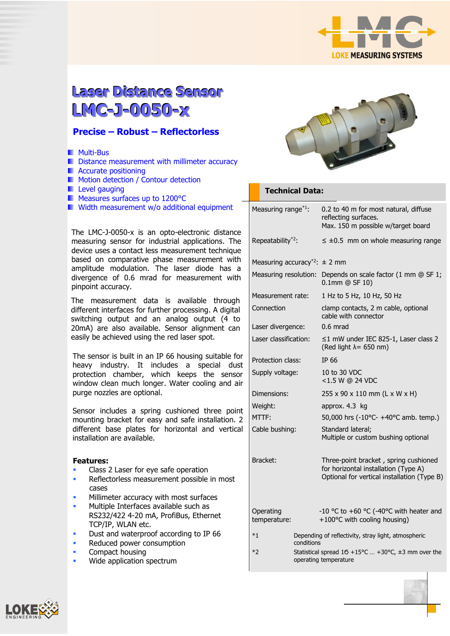

# **Laser Diistance Sensor LMC-J-0050-x**

### **Precise – Robust – Reflectorless**

- **Multi-Bus**
- Distance measurement with millimeter accuracy
- **Accurate positioning**
- **Motion detection / Contour detection**
- **Level gauging**
- Measures surfaces up to 1200°C
- **Width measurement w/o additional equipment**

The LMC-J-0050-x is an opto-electronic distance measuring sensor for industrial applications. The device uses a contact less measurement technique based on comparative phase measurement with amplitude modulation. The laser diode has a divergence of 0.6 mrad for measurement with pinpoint accuracy.

The measurement data is available through different interfaces for further processing. A digital switching output and an analog output (4 to 20mA) are also available. Sensor alignment can easily be achieved using the red laser spot.

The sensor is built in an IP 66 housing suitable for heavy industry. It includes a special dust protection chamber, which keeps the sensor window clean much longer. Water cooling and air purge nozzles are optional.

Sensor includes a spring cushioned three point mounting bracket for easy and safe installation. 2 different base plates for horizontal and vertical installation are available.

#### **Features:**

- Class 2 Laser for eye safe operation
- Reflectorless measurement possible in most cases
- Millimeter accuracy with most surfaces
- Multiple Interfaces available such as RS232/422 4-20 mA, ProfiBus, Ethernet TCP/IP, WLAN etc.
- Dust and waterproof according to IP 66
- Reduced power consumption
- Compact housing
- Wide application spectrum



#### **Technical Data:**

|  | Measuring range <sup>*1</sup> :               |  | 0.2 to 40 m for most natural, diffuse<br>reflecting surfaces.<br>Max. 150 m possible w/target board                          |
|--|-----------------------------------------------|--|------------------------------------------------------------------------------------------------------------------------------|
|  | Repeatability <sup>*2</sup> :                 |  | $\leq \pm 0.5$ mm on whole measuring range                                                                                   |
|  | Measuring accuracy <sup>*2</sup> : $\pm$ 2 mm |  |                                                                                                                              |
|  | Measuring resolution:                         |  | Depends on scale factor (1 mm @ SF 1;<br>$0.1$ mm @ SF 10)                                                                   |
|  | Measurement rate:                             |  | 1 Hz to 5 Hz, 10 Hz, 50 Hz                                                                                                   |
|  | Connection                                    |  | clamp contacts, 2 m cable, optional<br>cable with connector                                                                  |
|  | Laser divergence:                             |  | $0.6$ mrad                                                                                                                   |
|  | Laser classification:                         |  | ≤1 mW under IEC 825-1, Laser class 2<br>(Red light $\lambda$ = 650 nm)                                                       |
|  | Protection class:                             |  | IP 66                                                                                                                        |
|  | Supply voltage:<br>Dimensions:<br>Weight:     |  | 10 to 30 VDC<br><1.5 W @ 24 VDC                                                                                              |
|  |                                               |  | 255 x 90 x 110 mm (L x W x H)                                                                                                |
|  |                                               |  | approx. 4.3 kg                                                                                                               |
|  | MTTF:                                         |  | 50,000 hrs (-10°C- +40°C amb. temp.)                                                                                         |
|  | Cable bushing:                                |  | Standard lateral;<br>Multiple or custom bushing optional                                                                     |
|  | Bracket:                                      |  | Three-point bracket, spring cushioned<br>for horizontal installation (Type A)<br>Optional for vertical installation (Type B) |
|  | Operating<br>temperature:                     |  | -10 °C to +60 °C (-40°C with heater and<br>+100°C with cooling housing)                                                      |
|  | $*1$<br>conditions                            |  | Depending of reflectivity, stray light, atmospheric                                                                          |
|  | $*2$                                          |  | Statistical spread $16 + 15^{\circ}$ C  +30°C, $\pm$ 3 mm over the<br>operating temperature                                  |